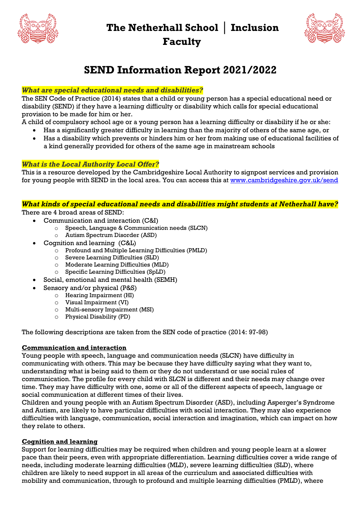**The Netherhall School │ Inclusion** 

**Faculty**





# **SEND Information Report 2021/2022**

# *What are special educational needs and disabilities?*

The SEN Code of Practice (2014) states that a child or young person has a special educational need or disability (SEND) if they have a learning difficulty or disability which calls for special educational provision to be made for him or her.

A child of compulsory school age or a young person has a learning difficulty or disability if he or she:

- Has a significantly greater difficulty in learning than the majority of others of the same age, or
- Has a disability which prevents or hinders him or her from making use of educational facilities of a kind generally provided for others of the same age in mainstream schools

# *What is the Local Authority Local Offer?*

This is a resource developed by the Cambridgeshire Local Authority to signpost services and provision for young people with SEND in the local area. You can access this at [www.cambridgeshire.gov.uk/send](http://www.cambridgeshire.gov.uk/send)

## *What kinds of special educational needs and disabilities might students at Netherhall have?*

There are 4 broad areas of SEND:

- Communication and interaction (C&I)
	- o Speech, Language & Communication needs (SLCN)
	- o Autism Spectrum Disorder (ASD)
- Cognition and learning (C&L)
	- o Profound and Multiple Learning Difficulties (PMLD)
		- o Severe Learning Difficulties (SLD)
		- o Moderate Learning Difficulties (MLD)
		- o Specific Learning Difficulties (SpLD)
- Social, emotional and mental health (SEMH)
- Sensory and/or physical (P&S)
	- o Hearing Impairment (HI)
	- o Visual Impairment (VI)
	- o Multi-sensory Impairment (MSI)
	- o Physical Disability (PD)

The following descriptions are taken from the SEN code of practice (2014: 97-98)

# **Communication and interaction**

Young people with speech, language and communication needs (SLCN) have difficulty in communicating with others. This may be because they have difficulty saying what they want to, understanding what is being said to them or they do not understand or use social rules of communication. The profile for every child with SLCN is different and their needs may change over time. They may have difficulty with one, some or all of the different aspects of speech, language or social communication at different times of their lives.

Children and young people with an Autism Spectrum Disorder (ASD), including Asperger's Syndrome and Autism, are likely to have particular difficulties with social interaction. They may also experience difficulties with language, communication, social interaction and imagination, which can impact on how they relate to others.

# **Cognition and learning**

Support for learning difficulties may be required when children and young people learn at a slower pace than their peers, even with appropriate differentiation. Learning difficulties cover a wide range of needs, including moderate learning difficulties (MLD), severe learning difficulties (SLD), where children are likely to need support in all areas of the curriculum and associated difficulties with mobility and communication, through to profound and multiple learning difficulties (PMLD), where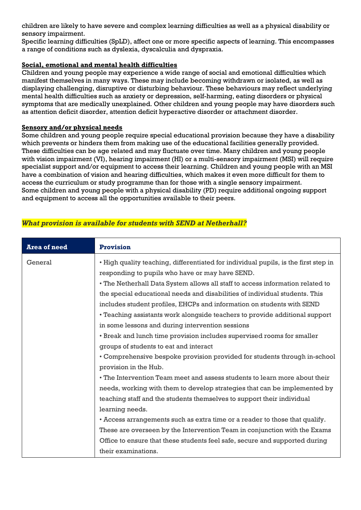children are likely to have severe and complex learning difficulties as well as a physical disability or sensory impairment.

Specific learning difficulties (SpLD), affect one or more specific aspects of learning. This encompasses a range of conditions such as dyslexia, dyscalculia and dyspraxia.

## **Social, emotional and mental health difficulties**

Children and young people may experience a wide range of social and emotional difficulties which manifest themselves in many ways. These may include becoming withdrawn or isolated, as well as displaying challenging, disruptive or disturbing behaviour. These behaviours may reflect underlying mental health difficulties such as anxiety or depression, self-harming, eating disorders or physical symptoms that are medically unexplained. Other children and young people may have disorders such as attention deficit disorder, attention deficit hyperactive disorder or attachment disorder.

## **Sensory and/or physical needs**

Some children and young people require special educational provision because they have a disability which prevents or hinders them from making use of the educational facilities generally provided. These difficulties can be age related and may fluctuate over time. Many children and young people with vision impairment (VI), hearing impairment (HI) or a multi-sensory impairment (MSI) will require specialist support and/or equipment to access their learning. Children and young people with an MSI have a combination of vision and hearing difficulties, which makes it even more difficult for them to access the curriculum or study programme than for those with a single sensory impairment. Some children and young people with a physical disability (PD) require additional ongoing support and equipment to access all the opportunities available to their peers.

| <b>Area of need</b> | <b>Provision</b>                                                                    |
|---------------------|-------------------------------------------------------------------------------------|
| General             | • High quality teaching, differentiated for individual pupils, is the first step in |
|                     | responding to pupils who have or may have SEND.                                     |
|                     | • The Netherhall Data System allows all staff to access information related to      |
|                     | the special educational needs and disabilities of individual students. This         |
|                     | includes student profiles, EHCPs and information on students with SEND              |
|                     | • Teaching assistants work alongside teachers to provide additional support         |
|                     | in some lessons and during intervention sessions                                    |
|                     | • Break and lunch time provision includes supervised rooms for smaller              |
|                     | groups of students to eat and interact                                              |
|                     | • Comprehensive bespoke provision provided for students through in-school           |
|                     | provision in the Hub.                                                               |
|                     | • The Intervention Team meet and assess students to learn more about their          |
|                     | needs, working with them to develop strategies that can be implemented by           |
|                     | teaching staff and the students themselves to support their individual              |
|                     | learning needs.                                                                     |
|                     | • Access arrangements such as extra time or a reader to those that qualify.         |
|                     | These are overseen by the Intervention Team in conjunction with the Exams           |
|                     | Office to ensure that these students feel safe, secure and supported during         |
|                     | their examinations.                                                                 |

# *What provision is available for students with SEND at Netherhall?*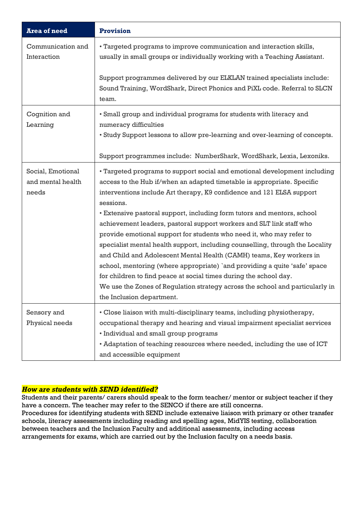| <b>Area of need</b>                             | <b>Provision</b>                                                                                                                                                                                                                                                                                                                                                                                                                                                                                                                                                                                                                                                                                                                                                                                                                                                                              |  |  |
|-------------------------------------------------|-----------------------------------------------------------------------------------------------------------------------------------------------------------------------------------------------------------------------------------------------------------------------------------------------------------------------------------------------------------------------------------------------------------------------------------------------------------------------------------------------------------------------------------------------------------------------------------------------------------------------------------------------------------------------------------------------------------------------------------------------------------------------------------------------------------------------------------------------------------------------------------------------|--|--|
| Communication and<br>Interaction                | • Targeted programs to improve communication and interaction skills,<br>usually in small groups or individually working with a Teaching Assistant.                                                                                                                                                                                                                                                                                                                                                                                                                                                                                                                                                                                                                                                                                                                                            |  |  |
|                                                 | Support programmes delivered by our ELKLAN trained specialists include:<br>Sound Training, WordShark, Direct Phonics and PiXL code. Referral to SLCN<br>team.                                                                                                                                                                                                                                                                                                                                                                                                                                                                                                                                                                                                                                                                                                                                 |  |  |
| Cognition and<br>Learning                       | • Small group and individual programs for students with literacy and<br>numeracy difficulties                                                                                                                                                                                                                                                                                                                                                                                                                                                                                                                                                                                                                                                                                                                                                                                                 |  |  |
|                                                 | • Study Support lessons to allow pre-learning and over-learning of concepts.                                                                                                                                                                                                                                                                                                                                                                                                                                                                                                                                                                                                                                                                                                                                                                                                                  |  |  |
|                                                 | Support programmes include: NumberShark, WordShark, Lexia, Lexoniks.                                                                                                                                                                                                                                                                                                                                                                                                                                                                                                                                                                                                                                                                                                                                                                                                                          |  |  |
| Social, Emotional<br>and mental health<br>needs | • Targeted programs to support social and emotional development including<br>access to the Hub if/when an adapted timetable is appropriate. Specific<br>interventions include Art therapy, K9 confidence and 121 ELSA support<br>sessions.<br>• Extensive pastoral support, including form tutors and mentors, school<br>achievement leaders, pastoral support workers and SLT link staff who<br>provide emotional support for students who need it, who may refer to<br>specialist mental health support, including counselling, through the Locality<br>and Child and Adolescent Mental Health (CAMH) teams, Key workers in<br>school, mentoring (where appropriate) `and providing a quite 'safe' space<br>for children to find peace at social times during the school day.<br>We use the Zones of Regulation strategy across the school and particularly in<br>the Inclusion department. |  |  |
| Sensory and<br>Physical needs                   | • Close liaison with multi-disciplinary teams, including physiotherapy,<br>occupational therapy and hearing and visual impairment specialist services<br>• Individual and small group programs<br>• Adaptation of teaching resources where needed, including the use of ICT<br>and accessible equipment                                                                                                                                                                                                                                                                                                                                                                                                                                                                                                                                                                                       |  |  |

# *How are students with SEND identified?*

Students and their parents/ carers should speak to the form teacher/ mentor or subject teacher if they have a concern. The teacher may refer to the SENCO if there are still concerns. Procedures for identifying students with SEND include extensive liaison with primary or other transfer schools, literacy assessments including reading and spelling ages, MidYIS testing, collaboration between teachers and the Inclusion Faculty and additional assessments, including access arrangements for exams, which are carried out by the Inclusion faculty on a needs basis.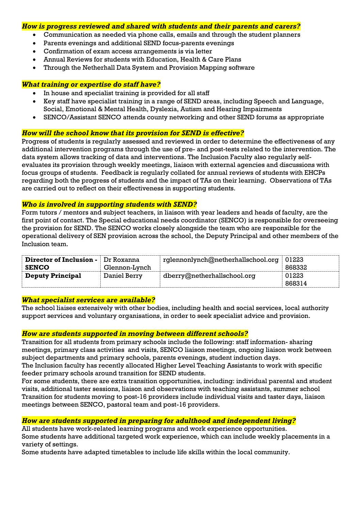#### *How is progress reviewed and shared with students and their parents and carers?*

- Communication as needed via phone calls, emails and through the student planners
- Parents evenings and additional SEND focus-parents evenings
- Confirmation of exam access arrangements is via letter
- Annual Reviews for students with Education, Health & Care Plans
- Through the Netherhall Data System and Provision Mapping software

### *What training or expertise do staff have?*

- In house and specialist training is provided for all staff
- Key staff have specialist training in a range of SEND areas, including Speech and Language, Social, Emotional & Mental Health, Dyslexia, Autism and Hearing Impairments
- SENCO/Assistant SENCO attends county networking and other SEND forums as appropriate

## *How will the school know that its provision for SEND is effective?*

Progress of students is regularly assessed and reviewed in order to determine the effectiveness of any additional intervention programs through the use of pre- and post-tests related to the intervention. The data system allows tracking of data and interventions. The Inclusion Faculty also regularly selfevaluates its provision through weekly meetings, liaison with external agencies and discussions with focus groups of students. Feedback is regularly collated for annual reviews of students with EHCPs regarding both the progress of students and the impact of TAs on their learning. Observations of TAs are carried out to reflect on their effectiveness in supporting students.

#### *Who is involved in supporting students with SEND?*

Form tutors / mentors and subject teachers, in liaison with year leaders and heads of faculty, are the first point of contact. The Special educational needs coordinator (SENCO) is responsible for overseeing the provision for SEND. The SENCO works closely alongside the team who are responsible for the operational delivery of SEN provision across the school, the Deputy Principal and other members of the Inclusion team.

| <b>Director of Inclusion -</b> | Dr Roxanna    | $\lq$ rglennonlynch@netherhallschool.org $\lq$ | $\overline{0}$ 01223 |
|--------------------------------|---------------|------------------------------------------------|----------------------|
| <b>SENCO</b>                   | Glennon-Lynch |                                                | 868332               |
| <b>Deputy Principal</b>        | Daniel Berry  | dberry@netherhallschool.org                    | 01223                |
|                                |               |                                                | 868314               |

## *What specialist services are available?*

The school liaises extensively with other bodies, including health and social services, local authority support services and voluntary organisations, in order to seek specialist advice and provision.

## *How are students supported in moving between different schools?*

Transition for all students from primary schools include the following: staff information- sharing meetings, primary class activities and visits, SENCO liaison meetings, ongoing liaison work between subject departments and primary schools, parents evenings, student induction days.

The Inclusion faculty has recently allocated Higher Level Teaching Assistants to work with specific feeder primary schools around transition for SEND students.

For some students, there are extra transition opportunities, including: individual parental and student visits, additional taster sessions, liaison and observations with teaching assistants, summer school Transition for students moving to post-16 providers include individual visits and taster days, liaison meetings between SENCO, pastoral team and post-16 providers.

## *How are students supported in preparing for adulthood and independent living?*

All students have work-related learning programs and work experience opportunities. Some students have additional targeted work experience, which can include weekly placements in a variety of settings.

Some students have adapted timetables to include life skills within the local community.